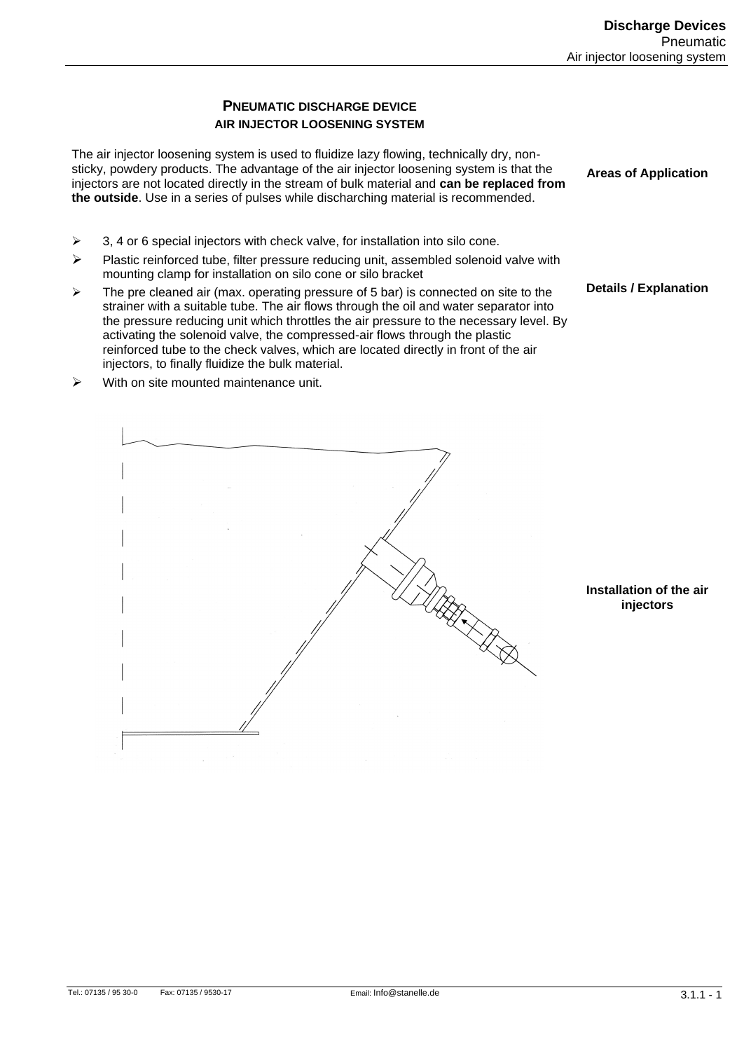#### **PNEUMATIC DISCHARGE DEVICE AIR INJECTOR LOOSENING SYSTEM**

The air injector loosening system is used to fluidize lazy flowing, technically dry, nonsticky, powdery products. The advantage of the air injector loosening system is that the injectors are not located directly in the stream of bulk material and **can be replaced from the outside**. Use in a series of pulses while discharching material is recommended.

 $\geq$  3, 4 or 6 special injectors with check valve, for installation into silo cone.

 $\triangleright$  With on site mounted maintenance unit.

- $\triangleright$  Plastic reinforced tube, filter pressure reducing unit, assembled solenoid valve with mounting clamp for installation on silo cone or silo bracket
- $\triangleright$  The pre cleaned air (max. operating pressure of 5 bar) is connected on site to the strainer with a suitable tube. The air flows through the oil and water separator into the pressure reducing unit which throttles the air pressure to the necessary level. By activating the solenoid valve, the compressed-air flows through the plastic reinforced tube to the check valves, which are located directly in front of the air injectors, to finally fluidize the bulk material.

**Areas of Application**

**Details / Explanation**

UER<br>K

**Installation of the air injectors**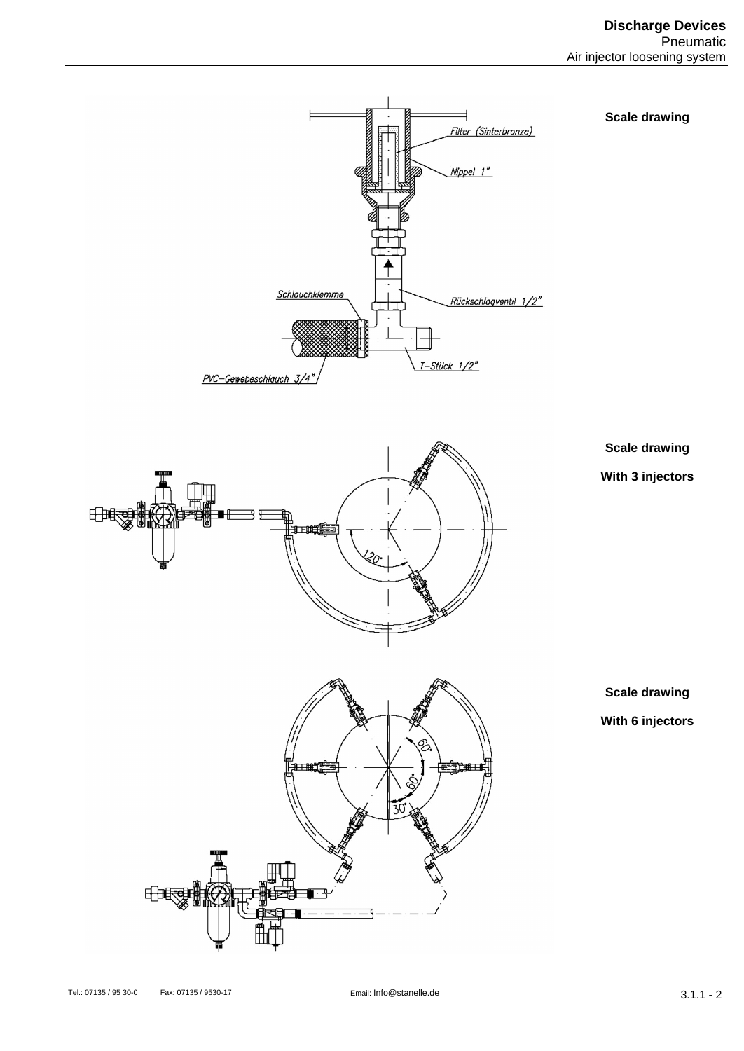